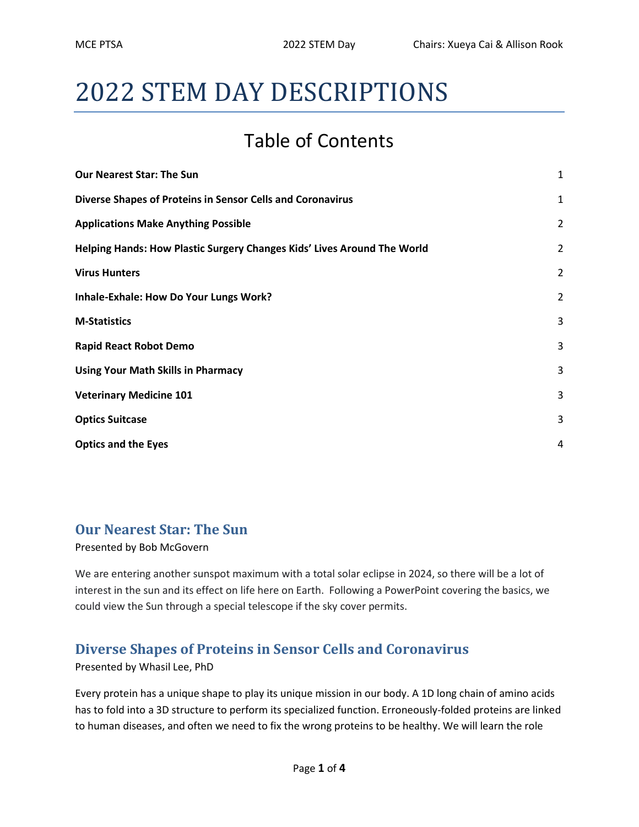# 2022 STEM DAY DESCRIPTIONS

## Table of Contents

| <b>Our Nearest Star: The Sun</b>                                        | $\mathbf{1}$   |
|-------------------------------------------------------------------------|----------------|
| Diverse Shapes of Proteins in Sensor Cells and Coronavirus              | 1              |
| <b>Applications Make Anything Possible</b>                              | $\overline{2}$ |
| Helping Hands: How Plastic Surgery Changes Kids' Lives Around The World | $\overline{2}$ |
| <b>Virus Hunters</b>                                                    | $\overline{2}$ |
| Inhale-Exhale: How Do Your Lungs Work?                                  | 2              |
| <b>M-Statistics</b>                                                     | 3              |
| <b>Rapid React Robot Demo</b>                                           | 3              |
| <b>Using Your Math Skills in Pharmacy</b>                               | 3              |
| <b>Veterinary Medicine 101</b>                                          | 3              |
| <b>Optics Suitcase</b>                                                  | 3              |
| <b>Optics and the Eyes</b>                                              | 4              |

#### Our Nearest Star: The Sun

Presented by Bob McGovern

We are entering another sunspot maximum with a total solar eclipse in 2024, so there will be a lot of interest in the sun and its effect on life here on Earth. Following a PowerPoint covering the basics, we could view the Sun through a special telescope if the sky cover permits.

#### Diverse Shapes of Proteins in Sensor Cells and Coronavirus

Presented by Whasil Lee, PhD

Every protein has a unique shape to play its unique mission in our body. A 1D long chain of amino acids has to fold into a 3D structure to perform its specialized function. Erroneously-folded proteins are linked to human diseases, and often we need to fix the wrong proteins to be healthy. We will learn the role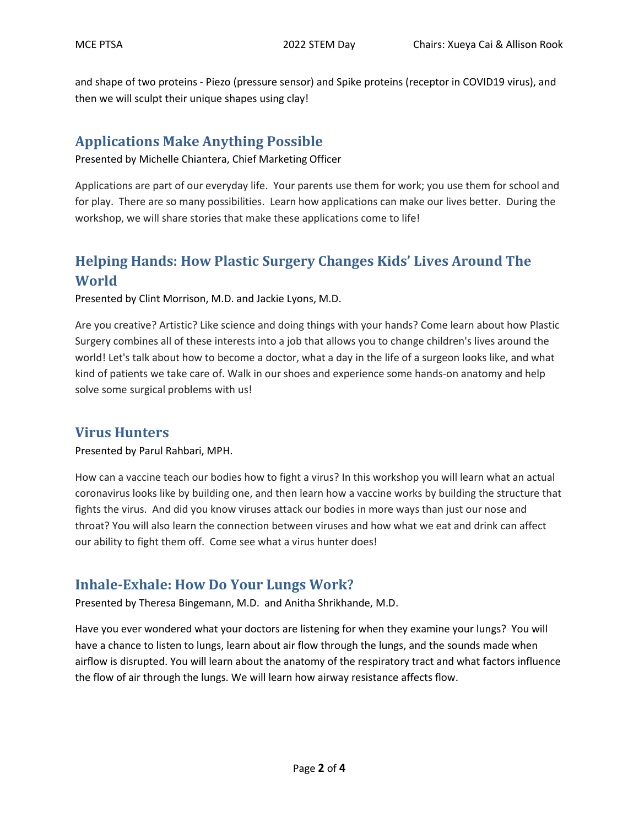and shape of two proteins - Piezo (pressure sensor) and Spike proteins (receptor in COVID19 virus), and then we will sculpt their unique shapes using clay!

#### Applications Make Anything Possible

Presented by Michelle Chiantera, Chief Marketing Officer

Applications are part of our everyday life. Your parents use them for work; you use them for school and for play. There are so many possibilities. Learn how applications can make our lives better. During the workshop, we will share stories that make these applications come to life!

### Helping Hands: How Plastic Surgery Changes Kids' Lives Around The World

Presented by Clint Morrison, M.D. and Jackie Lyons, M.D.

Are you creative? Artistic? Like science and doing things with your hands? Come learn about how Plastic Surgery combines all of these interests into a job that allows you to change children's lives around the world! Let's talk about how to become a doctor, what a day in the life of a surgeon looks like, and what kind of patients we take care of. Walk in our shoes and experience some hands-on anatomy and help solve some surgical problems with us!

#### Virus Hunters

Presented by Parul Rahbari, MPH.

How can a vaccine teach our bodies how to fight a virus? In this workshop you will learn what an actual coronavirus looks like by building one, and then learn how a vaccine works by building the structure that fights the virus. And did you know viruses attack our bodies in more ways than just our nose and throat? You will also learn the connection between viruses and how what we eat and drink can affect our ability to fight them off. Come see what a virus hunter does!

#### Inhale-Exhale: How Do Your Lungs Work?

Presented by Theresa Bingemann, M.D. and Anitha Shrikhande, M.D.

Have you ever wondered what your doctors are listening for when they examine your lungs? You will have a chance to listen to lungs, learn about air flow through the lungs, and the sounds made when airflow is disrupted. You will learn about the anatomy of the respiratory tract and what factors influence the flow of air through the lungs. We will learn how airway resistance affects flow.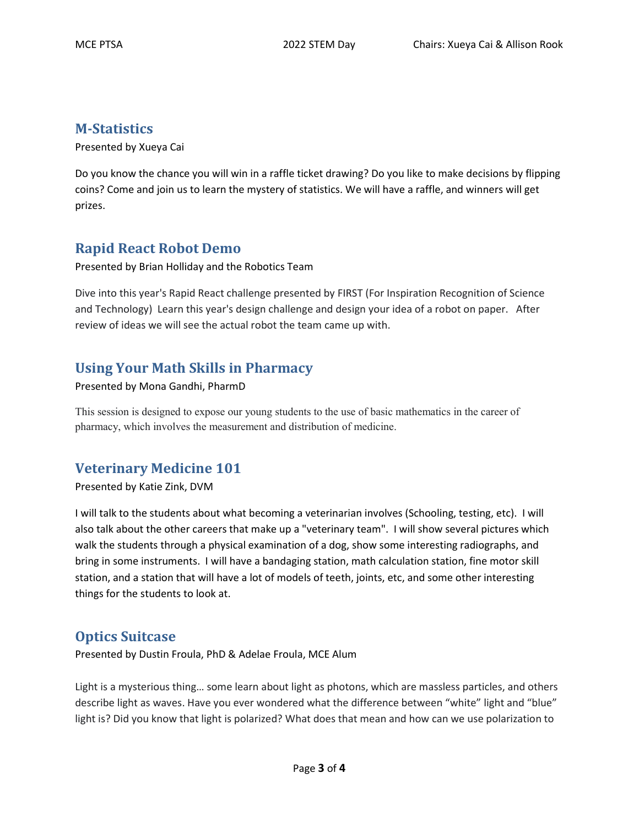#### M-Statistics

Presented by Xueya Cai

Do you know the chance you will win in a raffle ticket drawing? Do you like to make decisions by flipping coins? Come and join us to learn the mystery of statistics. We will have a raffle, and winners will get prizes.

#### Rapid React Robot Demo

Presented by Brian Holliday and the Robotics Team

Dive into this year's Rapid React challenge presented by FIRST (For Inspiration Recognition of Science and Technology) Learn this year's design challenge and design your idea of a robot on paper. After review of ideas we will see the actual robot the team came up with.

#### Using Your Math Skills in Pharmacy

#### Presented by Mona Gandhi, PharmD

This session is designed to expose our young students to the use of basic mathematics in the career of pharmacy, which involves the measurement and distribution of medicine.

#### Veterinary Medicine 101

Presented by Katie Zink, DVM

I will talk to the students about what becoming a veterinarian involves (Schooling, testing, etc). I will also talk about the other careers that make up a "veterinary team". I will show several pictures which walk the students through a physical examination of a dog, show some interesting radiographs, and bring in some instruments. I will have a bandaging station, math calculation station, fine motor skill station, and a station that will have a lot of models of teeth, joints, etc, and some other interesting things for the students to look at.

#### Optics Suitcase

Presented by Dustin Froula, PhD & Adelae Froula, MCE Alum

Light is a mysterious thing… some learn about light as photons, which are massless particles, and others describe light as waves. Have you ever wondered what the difference between "white" light and "blue" light is? Did you know that light is polarized? What does that mean and how can we use polarization to